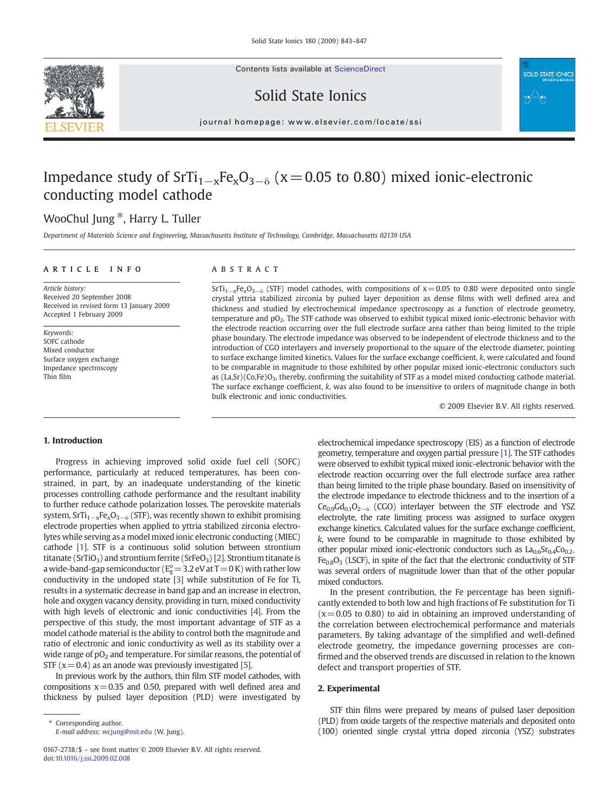Contents lists available at ScienceDirect







 $j$  or expressed existence in the common  $\alpha$ 

# Impedance study of  $STi_{1-x}Fe_xO_{3-\delta}$  (x = 0.05 to 0.80) mixed ionic-electronic conducting model cathode

## WooChul Jung<sup>\*</sup>, Harry L. Tuller

Department of Materials Science and Engineering, Massachusetts Institute of Technology, Cambridge, Massachusetts 02139 USA

### article info abstract

Article history: Received 20 September 2008 Received in revised form 13 January 2009 Accepted 1 February 2009

Keywords: SOFC cathode Mixed conductor Surface oxygen exchange Impedance spectroscopy Thin film

 $SfTi_{1-x}Fe_xO_{3-\delta}$  (STF) model cathodes, with compositions of x = 0.05 to 0.80 were deposited onto single crystal yttria stabilized zirconia by pulsed layer deposition as dense films with well defined area and thickness and studied by electrochemical impedance spectroscopy as a function of electrode geometry, temperature and pO2. The STF cathode was observed to exhibit typical mixed ionic-electronic behavior with the electrode reaction occurring over the full electrode surface area rather than being limited to the triple phase boundary. The electrode impedance was observed to be independent of electrode thickness and to the introduction of CGO interlayers and inversely proportional to the square of the electrode diameter, pointing to surface exchange limited kinetics. Values for the surface exchange coefficient, k, were calculated and found to be comparable in magnitude to those exhibited by other popular mixed ionic-electronic conductors such as  $(La, Sr)(Co, Fe)O<sub>3</sub>$ , thereby, confirming the suitability of STF as a model mixed conducting cathode material. The surface exchange coefficient, k, was also found to be insensitive to orders of magnitude change in both bulk electronic and ionic conductivities.

© 2009 Elsevier B.V. All rights reserved.

#### 1. Introduction

Progress in achieving improved solid oxide fuel cell (SOFC) performance, particularly at reduced temperatures, has been constrained, in part, by an inadequate understanding of the kinetic processes controlling cathode performance and the resultant inability to further reduce cathode polarization losses. The perovskite materials system,  $SrTi_{1-x}Fe_{x}O_{3-δ}$  (STF), was recently shown to exhibit promising electrode properties when applied to yttria stabilized zirconia electrolytes while serving as a model mixed ionic electronic conducting (MIEC) cathode [\[1\].](#page-4-0) STF is a continuous solid solution between strontium titanate (SrTiO<sub>3</sub>) and strontium ferrite (SrFeO<sub>3</sub>) [\[2\].](#page-4-0) Strontium titanate is a wide-band-gap semiconductor ( $E_g^o = 3.2$  eV at T  $= 0$  K) with rather low conductivity in the undoped state [\[3\]](#page-4-0) while substitution of Fe for Ti, results in a systematic decrease in band gap and an increase in electron, hole and oxygen vacancy density, providing in turn, mixed conductivity with high levels of electronic and ionic conductivities [\[4\].](#page-4-0) From the perspective of this study, the most important advantage of STF as a model cathode material is the ability to control both the magnitude and ratio of electronic and ionic conductivity as well as its stability over a wide range of  $pO<sub>2</sub>$  and temperature. For similar reasons, the potential of STF ( $x=0.4$ ) as an anode was previously investigated [\[5\].](#page-4-0)

In previous work by the authors, thin film STF model cathodes, with compositions  $x=0.35$  and 0.50, prepared with well defined area and thickness by pulsed layer deposition (PLD) were investigated by electrochemical impedance spectroscopy (EIS) as a function of electrode geometry, temperature and oxygen partial pressure [\[1\].](#page-4-0) The STF cathodes were observed to exhibit typical mixed ionic-electronic behavior with the electrode reaction occurring over the full electrode surface area rather than being limited to the triple phase boundary. Based on insensitivity of the electrode impedance to electrode thickness and to the insertion of a  $Ce<sub>0.9</sub>Gd<sub>0.1</sub>O<sub>2−δ</sub>$  (CGO) interlayer between the STF electrode and YSZ electrolyte, the rate limiting process was assigned to surface oxygen exchange kinetics. Calculated values for the surface exchange coefficient, k, were found to be comparable in magnitude to those exhibited by other popular mixed ionic-electronic conductors such as  $La<sub>0.6</sub>Sr<sub>0.4</sub>Co<sub>0.2</sub>$  $Fe<sub>0.8</sub>O<sub>3</sub>$  (LSCF), in spite of the fact that the electronic conductivity of STF was several orders of magnitude lower than that of the other popular mixed conductors.

In the present contribution, the Fe percentage has been significantly extended to both low and high fractions of Fe substitution for Ti  $(x= 0.05$  to 0.80) to aid in obtaining an improved understanding of the correlation between electrochemical performance and materials parameters. By taking advantage of the simplified and well-defined electrode geometry, the impedance governing processes are confirmed and the observed trends are discussed in relation to the known defect and transport properties of STF.

#### 2. Experimental

STF thin films were prepared by means of pulsed laser deposition (PLD) from oxide targets of the respective materials and deposited onto (100) oriented single crystal yttria doped zirconia (YSZ) substrates

Corresponding author. E-mail address: [wcjung@mit.edu](mailto:wcjung@mit.edu) (W. Jung).

<sup>0167-2738/\$</sup> – see front matter © 2009 Elsevier B.V. All rights reserved. doi:[10.1016/j.ssi.2009.02.008](http://dx.doi.org/10.1016/j.ssi.2009.02.008)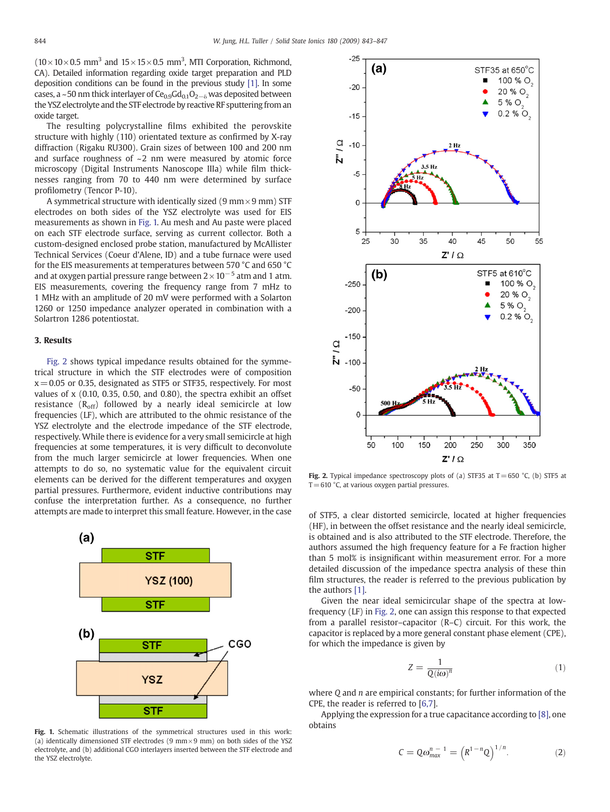$(10 \times 10 \times 0.5$  mm<sup>3</sup> and  $15 \times 15 \times 0.5$  mm<sup>3</sup>, MTI Corporation, Richmond, CA). Detailed information regarding oxide target preparation and PLD deposition conditions can be found in the previous study [\[1\]](#page-4-0). In some cases, a ~50 nm thick interlayer of Ce<sub>0.9</sub>Gd<sub>0.1</sub>O<sub>2−δ</sub> was deposited between the YSZ electrolyte and the STF electrode by reactive RF sputtering from an oxide target.

The resulting polycrystalline films exhibited the perovskite structure with highly (110) orientated texture as confirmed by X-ray diffraction (Rigaku RU300). Grain sizes of between 100 and 200 nm and surface roughness of  $\sim$ 2 nm were measured by atomic force microscopy (Digital Instruments Nanoscope IIIa) while film thicknesses ranging from 70 to 440 nm were determined by surface profilometry (Tencor P-10).

A symmetrical structure with identically sized (9 mm  $\times$  9 mm) STF electrodes on both sides of the YSZ electrolyte was used for EIS measurements as shown in Fig. 1. Au mesh and Au paste were placed on each STF electrode surface, serving as current collector. Both a custom-designed enclosed probe station, manufactured by McAllister Technical Services (Coeur d'Alene, ID) and a tube furnace were used for the EIS measurements at temperatures between 570 °C and 650 °C and at oxygen partial pressure range between  $2 \times 10^{-5}$  atm and 1 atm. EIS measurements, covering the frequency range from 7 mHz to 1 MHz with an amplitude of 20 mV were performed with a Solarton 1260 or 1250 impedance analyzer operated in combination with a Solartron 1286 potentiostat.

#### 3. Results

Fig. 2 shows typical impedance results obtained for the symmetrical structure in which the STF electrodes were of composition  $x = 0.05$  or 0.35, designated as STF5 or STF35, respectively. For most values of x (0.10, 0.35, 0.50, and 0.80), the spectra exhibit an offset resistance  $(R<sub>off</sub>)$  followed by a nearly ideal semicircle at low frequencies (LF), which are attributed to the ohmic resistance of the YSZ electrolyte and the electrode impedance of the STF electrode, respectively. While there is evidence for a very small semicircle at high frequencies at some temperatures, it is very difficult to deconvolute from the much larger semicircle at lower frequencies. When one attempts to do so, no systematic value for the equivalent circuit elements can be derived for the different temperatures and oxygen partial pressures. Furthermore, evident inductive contributions may confuse the interpretation further. As a consequence, no further attempts are made to interpret this small feature. However, in the case of STF5, a clear distorted semicircle, located at higher frequencies



Fig. 1. Schematic illustrations of the symmetrical structures used in this work: (a) identically dimensioned STF electrodes (9 mm  $\times$  9 mm) on both sides of the YSZ electrolyte, and (b) additional CGO interlayers inserted between the STF electrode and the YSZ electrolyte.



Fig. 2. Typical impedance spectroscopy plots of (a) STF35 at T = 650 °C, (b) STF5 at  $T = 610$  °C, at various oxygen partial pressures.

(HF), in between the offset resistance and the nearly ideal semicircle, is obtained and is also attributed to the STF electrode. Therefore, the authors assumed the high frequency feature for a Fe fraction higher than 5 mol% is insignificant within measurement error. For a more detailed discussion of the impedance spectra analysis of these thin film structures, the reader is referred to the previous publication by the authors [\[1\]](#page-4-0).

Given the near ideal semicircular shape of the spectra at lowfrequency (LF) in Fig. 2, one can assign this response to that expected from a parallel resistor–capacitor (R–C) circuit. For this work, the capacitor is replaced by a more general constant phase element (CPE), for which the impedance is given by

$$
Z = \frac{1}{Q(i\omega)^n} \tag{1}
$$

where O and *n* are empirical constants; for further information of the CPE, the reader is referred to [[6,7\]](#page-4-0).

Applying the expression for a true capacitance according to [\[8\],](#page-4-0) one obtains

$$
C = Q\omega_{\text{max}}^{n-1} = (R^{1-n}Q)^{1/n}.
$$
 (2)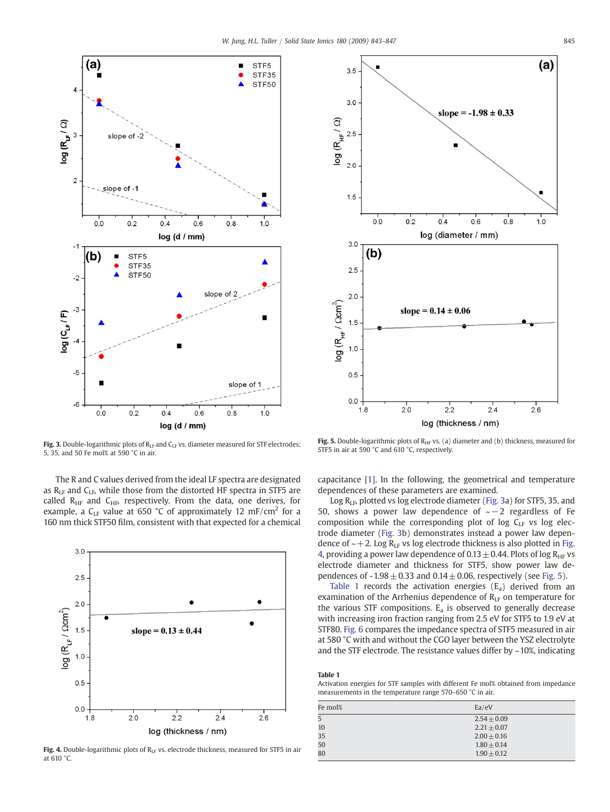<span id="page-2-0"></span>

Fig. 3. Double-logarithmic plots of  $R_{LF}$  and  $C_{LF}$  vs. diameter measured for STF electrodes: 5, 35, and 50 Fe mol% at 590 °C in air.

The R and C values derived from the ideal LF spectra are designated as  $R<sub>LF</sub>$  and  $C<sub>LF</sub>$ , while those from the distorted HF spectra in STF5 are called  $R<sub>HF</sub>$  and  $C<sub>HF</sub>$  respectively. From the data, one derives, for example, a  $C_{LF}$  value at 650 °C of approximately 12 mF/cm<sup>2</sup> for a 160 nm thick STF50 film, consistent with that expected for a chemical



Fig. 4. Double-logarithmic plots of  $R_{LF}$  vs. electrode thickness, measured for STF5 in air at 610 °C.



Fig. 5. Double-logarithmic plots of  $R<sub>HF</sub>$  vs. (a) diameter and (b) thickness, measured for STF5 in air at 590 °C and 610 °C, respectively.

capacitance [\[1\]](#page-4-0). In the following, the geometrical and temperature dependences of these parameters are examined.

Log RLF, plotted vs log electrode diameter (Fig. 3a) for STF5, 35, and 50, shows a power law dependence of ~−2 regardless of Fe composition while the corresponding plot of log  $C_{LF}$  vs log electrode diameter (Fig. 3b) demonstrates instead a power law dependence of  $\sim$  + 2. Log R<sub>LF</sub> vs log electrode thickness is also plotted in Fig. 4, providing a power law dependence of 0.13  $\pm$  0.44. Plots of log R<sub>HF</sub> vs electrode diameter and thickness for STF5, show power law dependences of  $-1.98 \pm 0.33$  and  $0.14 \pm 0.06$ , respectively (see Fig. 5).

Table 1 records the activation energies  $(E_a)$  derived from an examination of the Arrhenius dependence of  $R_{LF}$  on temperature for the various STF compositions.  $E_a$  is observed to generally decrease with increasing iron fraction ranging from 2.5 eV for STF5 to 1.9 eV at STF80. [Fig. 6](#page-3-0) compares the impedance spectra of STF5 measured in air at 580 °C with and without the CGO layer between the YSZ electrolyte and the STF electrode. The resistance values differ by  $\sim$  10%, indicating

#### Table 1

Activation energies for STF samples with different Fe mol% obtained from impedance measurements in the temperature range 570–650 °C in air.

| Fe mol% | Ea/eV           |
|---------|-----------------|
| 5       | $2.54 + 0.09$   |
| 10      | $2.21 + 0.07$   |
| 35      | $2.00 \pm 0.16$ |
| 50      | $1.80 + 0.14$   |
| 80      | $1.90 + 0.12$   |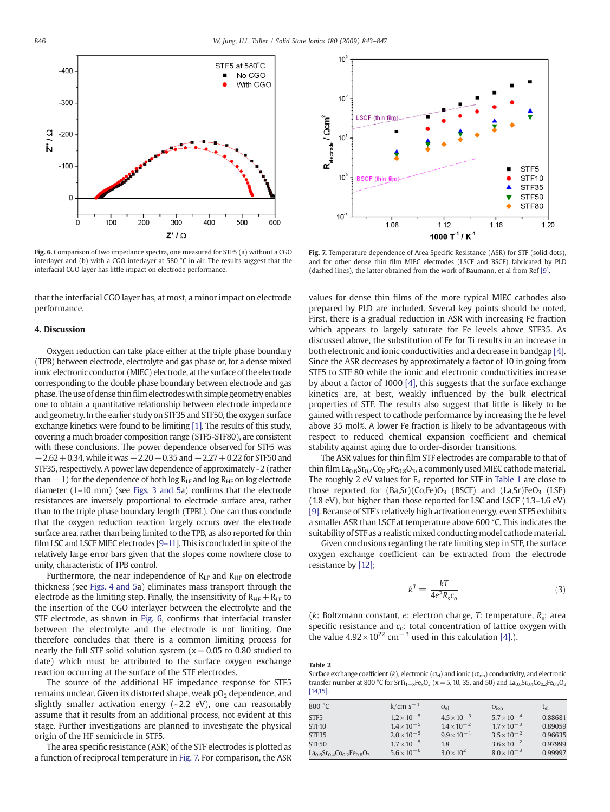<span id="page-3-0"></span>

Fig. 6. Comparison of two impedance spectra, one measured for STF5 (a) without a CGO interlayer and (b) with a CGO interlayer at 580 °C in air. The results suggest that the interfacial CGO layer has little impact on electrode performance.

that the interfacial CGO layer has, at most, a minor impact on electrode performance.

#### 4. Discussion

Oxygen reduction can take place either at the triple phase boundary (TPB) between electrode, electrolyte and gas phase or, for a dense mixed ionic electronic conductor (MIEC) electrode, at the surface of the electrode corresponding to the double phase boundary between electrode and gas phase. The use of dense thin film electrodes with simple geometry enables one to obtain a quantitative relationship between electrode impedance and geometry. In the earlier study on STF35 and STF50, the oxygen surface exchange kinetics were found to be limiting [\[1\].](#page-4-0) The results of this study, covering a much broader composition range (STF5-STF80), are consistent with these conclusions. The power dependence observed for STF5 was  $-2.62 \pm 0.34$ , while it was  $-2.20 \pm 0.35$  and  $-2.27 \pm 0.22$  for STF50 and STF35, respectively. A power law dependence of approximately -2 (rather than  $-1$ ) for the dependence of both log R<sub>LF</sub> and log R<sub>HF</sub> on log electrode diameter (1–10 mm) (see [Figs. 3 and 5a](#page-2-0)) confirms that the electrode resistances are inversely proportional to electrode surface area, rather than to the triple phase boundary length (TPBL). One can thus conclude that the oxygen reduction reaction largely occurs over the electrode surface area, rather than being limited to the TPB, as also reported for thin film LSC and LSCF MIEC electrodes [9–[11](#page-4-0)]. This is concluded in spite of the relatively large error bars given that the slopes come nowhere close to unity, characteristic of TPB control.

Furthermore, the near independence of  $R<sub>LF</sub>$  and  $R<sub>HF</sub>$  on electrode thickness (see [Figs. 4 and 5](#page-2-0)a) eliminates mass transport through the electrode as the limiting step. Finally, the insensitivity of  $R_{HF}+R_{LF}$  to the insertion of the CGO interlayer between the electrolyte and the STF electrode, as shown in Fig. 6, confirms that interfacial transfer between the electrolyte and the electrode is not limiting. One therefore concludes that there is a common limiting process for nearly the full STF solid solution system ( $x = 0.05$  to 0.80 studied to date) which must be attributed to the surface oxygen exchange reaction occurring at the surface of the STF electrodes.

The source of the additional HF impedance response for STF5 remains unclear. Given its distorted shape, weak pO<sub>2</sub> dependence, and slightly smaller activation energy  $(-2.2 \text{ eV})$ , one can reasonably assume that it results from an additional process, not evident at this stage. Further investigations are planned to investigate the physical origin of the HF semicircle in STF5.

The area specific resistance (ASR) of the STF electrodes is plotted as a function of reciprocal temperature in Fig. 7. For comparison, the ASR



Fig. 7. Temperature dependence of Area Specific Resistance (ASR) for STF (solid dots), and for other dense thin film MIEC electrodes (LSCF and BSCF) fabricated by PLD (dashed lines), the latter obtained from the work of Baumann, et al from Ref [\[9\]](#page-4-0).

values for dense thin films of the more typical MIEC cathodes also prepared by PLD are included. Several key points should be noted. First, there is a gradual reduction in ASR with increasing Fe fraction which appears to largely saturate for Fe levels above STF35. As discussed above, the substitution of Fe for Ti results in an increase in both electronic and ionic conductivities and a decrease in bandgap [\[4\].](#page-4-0) Since the ASR decreases by approximately a factor of 10 in going from STF5 to STF 80 while the ionic and electronic conductivities increase by about a factor of 1000 [\[4\],](#page-4-0) this suggests that the surface exchange kinetics are, at best, weakly influenced by the bulk electrical properties of STF. The results also suggest that little is likely to be gained with respect to cathode performance by increasing the Fe level above 35 mol%. A lower Fe fraction is likely to be advantageous with respect to reduced chemical expansion coefficient and chemical stability against aging due to order-disorder transitions.

The ASR values for thin film STF electrodes are comparable to that of thin film  $La_{0.6}Sr_{0.4}Co_{0.2}Fe_{0.8}O_3$ , a commonly used MIEC cathode material. The roughly 2 eV values for  $E_a$  reported for STF in [Table 1](#page-2-0) are close to those reported for  $(Ba, Sr)(Co, Fe)O<sub>3</sub>$  (BSCF) and  $(La, Sr)FeO<sub>3</sub>$  (LSF) (1.8 eV), but higher than those reported for LSC and LSCF (1.3–1.6 eV) [\[9\].](#page-4-0) Because of STF's relatively high activation energy, even STF5 exhibits a smaller ASR than LSCF at temperature above 600 °C. This indicates the suitability of STF as a realistic mixed conducting model cathode material.

Given conclusions regarding the rate limiting step in STF, the surface oxygen exchange coefficient can be extracted from the electrode resistance by [\[12\];](#page-4-0)

$$
k^q = \frac{kT}{4e^2 R_s c_o} \tag{3}
$$

( $k$ : Boltzmann constant,  $e$ : electron charge,  $T$ : temperature,  $R_s$ : area specific resistance and  $c_0$ : total concentration of lattice oxygen with the value  $4.92 \times 10^{22}$  cm<sup>-3</sup> used in this calculation [\[4\].](#page-4-0)).

Table 2

Surface exchange coefficient (k), electronic ( $\sigma_{el}$ ) and ionic ( $\sigma_{ion}$ ) conductivity, and electronic transfer number at 800 °C for SrTi<sub>1−x</sub>Fe<sub>x</sub>O<sub>3</sub> (x = 5, 10, 35, and 50) and La<sub>0.6</sub>Sr<sub>0.4</sub>Co<sub>0.2</sub>Fe<sub>0.8</sub>O<sub>3</sub> [\[14,15\].](#page-4-0)

| 800 °C                   | $k/cm s^{-1}$        | $\sigma_{\rm el}$    | $\sigma_{\rm ion}$   | $t_{el}$ |
|--------------------------|----------------------|----------------------|----------------------|----------|
| STF <sub>5</sub>         | $1.2 \times 10^{-5}$ | $4.5 \times 10^{-3}$ | $5.7 \times 10^{-4}$ | 0.88681  |
| <b>STF10</b>             | $1.4 \times 10^{-5}$ | $1.4 \times 10^{-2}$ | $1.7 \times 10^{-3}$ | 0.89059  |
| STF35                    | $2.0 \times 10^{-5}$ | $9.9 \times 10^{-1}$ | $3.5 \times 10^{-2}$ | 0.96635  |
| STF50                    | $1.7 \times 10^{-5}$ | 1.8                  | $3.6 \times 10^{-2}$ | 0.97999  |
| $La0.6Sr0.4Co0.2Fe0.8O3$ | $5.6 \times 10^{-6}$ | $3.0 \times 10^{2}$  | $8.0 \times 10^{-3}$ | 0.99997  |